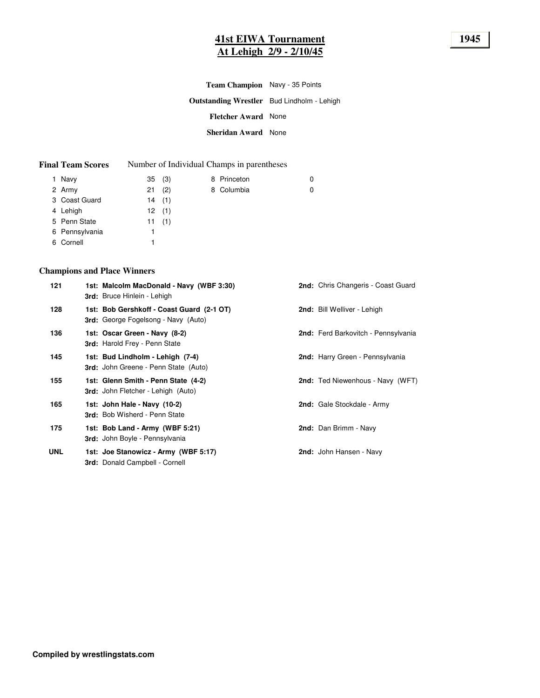# **41st EIWA Tournament 1945 At Lehigh 2/9 - 2/10/45**

| Team Champion Navy - 35 Points                    |  |  |
|---------------------------------------------------|--|--|
| <b>Outstanding Wrestler</b> Bud Lindholm - Lehigh |  |  |
| <b>Fletcher Award</b> None                        |  |  |
| <b>Sheridan Award</b> None                        |  |  |

| <b>Final Team Scores</b> |  | Number of Individual Champs in parentheses |
|--------------------------|--|--------------------------------------------|
|--------------------------|--|--------------------------------------------|

| 1 Navy         | 35(3)    |  | 8 Princeton | 0 |
|----------------|----------|--|-------------|---|
| 2 Army         | $21$ (2) |  | 8 Columbia  | 0 |
| 3 Coast Guard  | 14(1)    |  |             |   |
| 4 Lehigh       | 12(1)    |  |             |   |
| 5 Penn State   | 11(1)    |  |             |   |
| 6 Pennsylvania |          |  |             |   |
| 6 Cornell      |          |  |             |   |
|                |          |  |             |   |

## **Champions and Place Winners**

| 121        | 1st: Malcolm MacDonald - Navy (WBF 3:30)<br>3rd: Bruce Hinlein - Lehigh          | <b>2nd:</b> Chris Changeris - Coast Guard |
|------------|----------------------------------------------------------------------------------|-------------------------------------------|
| 128        | 1st: Bob Gershkoff - Coast Guard (2-1 OT)<br>3rd: George Fogelsong - Navy (Auto) | 2nd: Bill Welliver - Lehigh               |
| 136        | 1st: Oscar Green - Navy (8-2)<br><b>3rd: Harold Frey - Penn State</b>            | 2nd: Ferd Barkovitch - Pennsylvania       |
| 145        | 1st: Bud Lindholm - Lehigh (7-4)<br>3rd: John Greene - Penn State (Auto)         | 2nd: Harry Green - Pennsylvania           |
| 155        | 1st: Glenn Smith - Penn State (4-2)<br><b>3rd:</b> John Fletcher - Lehigh (Auto) | 2nd: Ted Niewenhous - Navy (WFT)          |
| 165        | 1st: John Hale - Navy (10-2)<br><b>3rd: Bob Wisherd - Penn State</b>             | <b>2nd:</b> Gale Stockdale - Army         |
| 175        | 1st: Bob Land - Army (WBF 5:21)<br>3rd: John Boyle - Pennsylvania                | 2nd: Dan Brimm - Navy                     |
| <b>UNL</b> | 1st: Joe Stanowicz - Army (WBF 5:17)<br><b>3rd:</b> Donald Campbell - Cornell    | 2nd: John Hansen - Navy                   |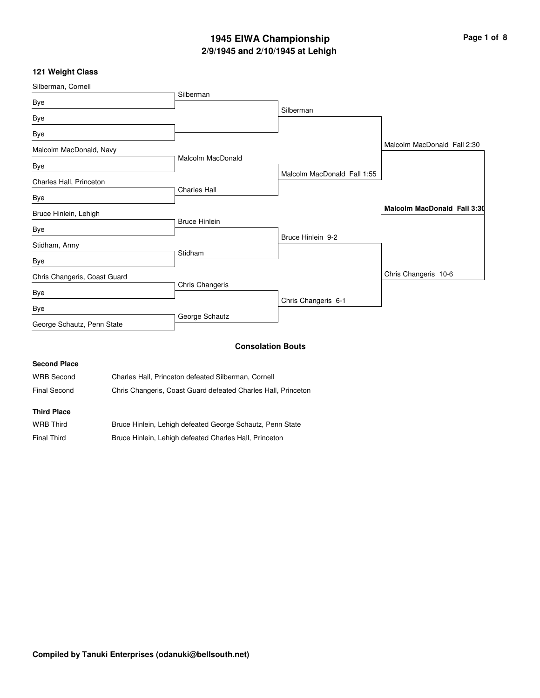# **2/9/1945 and 2/10/1945 at Lehigh 1945 EIWA Championship Page 1 of 8**

### **121 Weight Class**

| Silberman, Cornell           |                      |                             |                                    |
|------------------------------|----------------------|-----------------------------|------------------------------------|
| Bye                          | Silberman            |                             |                                    |
| Bye                          |                      | Silberman                   |                                    |
| Bye                          |                      |                             |                                    |
| Malcolm MacDonald, Navy      |                      |                             | Malcolm MacDonald Fall 2:30        |
| Bye                          | Malcolm MacDonald    |                             |                                    |
| Charles Hall, Princeton      |                      | Malcolm MacDonald Fall 1:55 |                                    |
| Bye                          | <b>Charles Hall</b>  |                             |                                    |
| Bruce Hinlein, Lehigh        |                      |                             | <b>Malcolm MacDonald Fall 3:30</b> |
| Bye                          | <b>Bruce Hinlein</b> |                             |                                    |
| Stidham, Army                |                      | Bruce Hinlein 9-2           |                                    |
| Bye                          | Stidham              |                             |                                    |
| Chris Changeris, Coast Guard |                      |                             | Chris Changeris 10-6               |
| Bye                          | Chris Changeris      |                             |                                    |
| Bye                          |                      | Chris Changeris 6-1         |                                    |
| George Schautz, Penn State   | George Schautz       |                             |                                    |
|                              |                      | <b>Consolation Bouts</b>    |                                    |

### **Second Place**

WRB Second Charles Hall, Princeton defeated Silberman, Cornell

Final Second Chris Changeris, Coast Guard defeated Charles Hall, Princeton

| <b>WRB Third</b>   | Bruce Hinlein, Lehigh defeated George Schautz, Penn State |
|--------------------|-----------------------------------------------------------|
| <b>Final Third</b> | Bruce Hinlein, Lehigh defeated Charles Hall, Princeton    |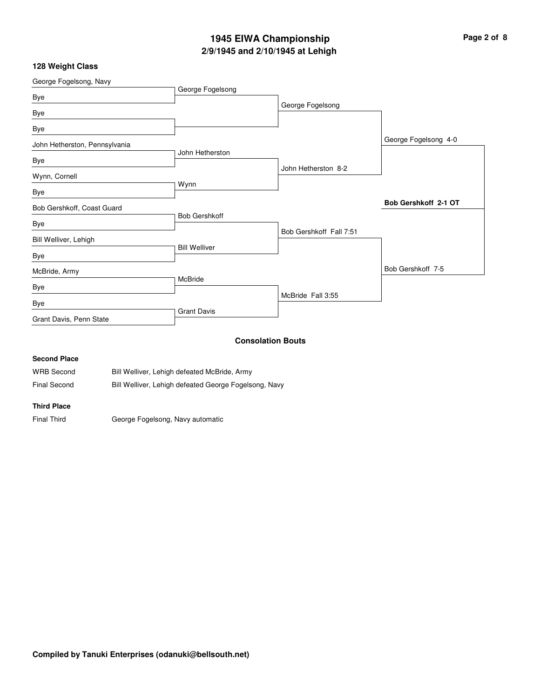# **2/9/1945 and 2/10/1945 at Lehigh 1945 EIWA Championship Page 2 of 8**

### **128 Weight Class**

| George Fogelsong, Navy        |                      |                         |                      |
|-------------------------------|----------------------|-------------------------|----------------------|
| Bye                           | George Fogelsong     |                         |                      |
| Bye                           |                      | George Fogelsong        |                      |
| Bye                           |                      |                         |                      |
| John Hetherston, Pennsylvania |                      |                         | George Fogelsong 4-0 |
| Bye                           | John Hetherston      |                         |                      |
| Wynn, Cornell                 |                      | John Hetherston 8-2     |                      |
| Bye                           | Wynn                 |                         |                      |
| Bob Gershkoff, Coast Guard    |                      |                         | Bob Gershkoff 2-1 OT |
|                               | Bob Gershkoff        |                         |                      |
| Bye                           |                      | Bob Gershkoff Fall 7:51 |                      |
| Bill Welliver, Lehigh         | <b>Bill Welliver</b> |                         |                      |
| Bye                           |                      |                         |                      |
| McBride, Army                 |                      |                         | Bob Gershkoff 7-5    |
| Bye                           | <b>McBride</b>       |                         |                      |
| Bye                           |                      | McBride Fall 3:55       |                      |
| Grant Davis, Penn State       | <b>Grant Davis</b>   |                         |                      |
|                               |                      | Association Books       |                      |

#### **Consolation Bouts**

## **Second Place**

| <b>WRB Second</b> | Bill Welliver, Lehigh defeated McBride, Army          |
|-------------------|-------------------------------------------------------|
| Final Second      | Bill Welliver, Lehigh defeated George Fogelsong, Navy |

### **Third Place**

Final Third George Fogelsong, Navy automatic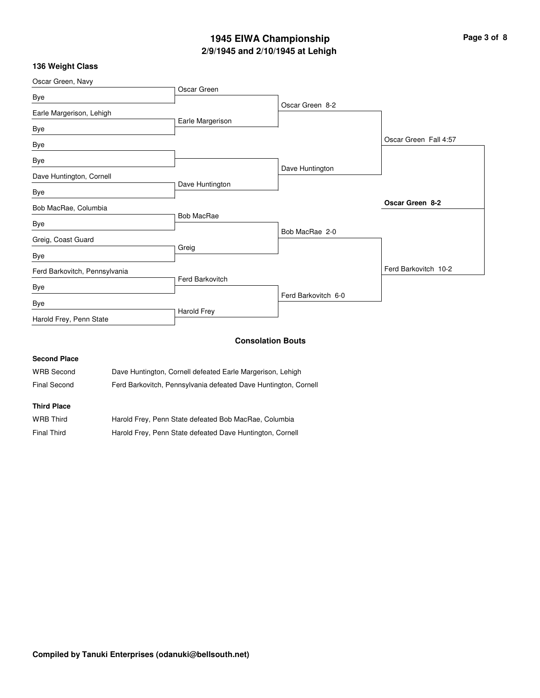# **2/9/1945 and 2/10/1945 at Lehigh 1945 EIWA Championship Page 3 of 8**

## **136 Weight Class**

| Oscar Green, Navy             |                    |                     |                       |
|-------------------------------|--------------------|---------------------|-----------------------|
| Bye                           | Oscar Green        |                     |                       |
|                               |                    | Oscar Green 8-2     |                       |
| Earle Margerison, Lehigh      | Earle Margerison   |                     |                       |
| Bye                           |                    |                     |                       |
| Bye                           |                    |                     | Oscar Green Fall 4:57 |
| Bye                           |                    |                     |                       |
| Dave Huntington, Cornell      |                    | Dave Huntington     |                       |
| Bye                           | Dave Huntington    |                     |                       |
| Bob MacRae, Columbia          |                    |                     | Oscar Green 8-2       |
|                               | <b>Bob MacRae</b>  |                     |                       |
| Bye                           |                    | Bob MacRae 2-0      |                       |
| Greig, Coast Guard            | Greig              |                     |                       |
| Bye                           |                    |                     |                       |
| Ferd Barkovitch, Pennsylvania |                    |                     | Ferd Barkovitch 10-2  |
| Bye                           | Ferd Barkovitch    |                     |                       |
| Bye                           |                    | Ferd Barkovitch 6-0 |                       |
| Harold Frey, Penn State       | <b>Harold Frey</b> |                     |                       |
|                               |                    | Concolation Route   |                       |

#### **Consolation Bouts**

## **Second Place**

| <b>WRB Second</b> | Dave Huntington, Cornell defeated Earle Margerison, Lehigh      |
|-------------------|-----------------------------------------------------------------|
| Final Second      | Ferd Barkovitch, Pennsylvania defeated Dave Huntington, Cornell |

| <b>WRB Third</b>   | Harold Frey, Penn State defeated Bob MacRae, Columbia     |
|--------------------|-----------------------------------------------------------|
| <b>Final Third</b> | Harold Frey, Penn State defeated Dave Huntington, Cornell |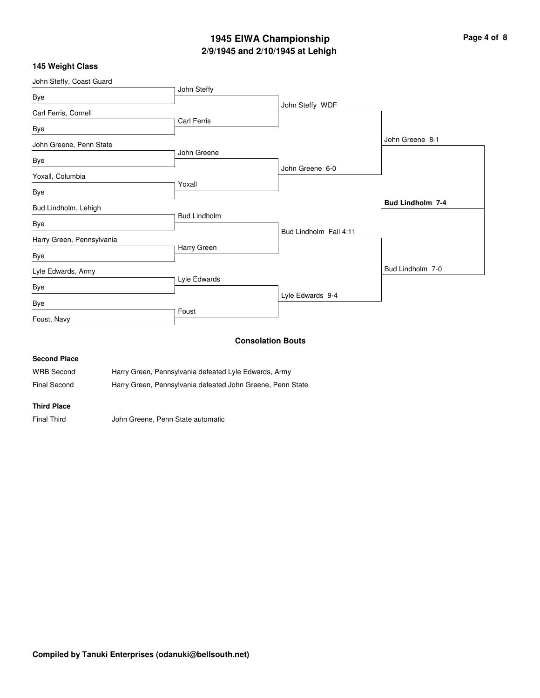# **2/9/1945 and 2/10/1945 at Lehigh 1945 EIWA Championship Page 4 of 8**

### **145 Weight Class**

| John Steffy, Coast Guard  |                     |                          |                  |
|---------------------------|---------------------|--------------------------|------------------|
| Bye                       | John Steffy         |                          |                  |
|                           |                     | John Steffy WDF          |                  |
| Carl Ferris, Cornell      | <b>Carl Ferris</b>  |                          |                  |
| Bye                       |                     |                          |                  |
| John Greene, Penn State   |                     |                          | John Greene 8-1  |
|                           | John Greene         |                          |                  |
| Bye                       |                     | John Greene 6-0          |                  |
| Yoxall, Columbia          |                     |                          |                  |
| Bye                       | Yoxall              |                          |                  |
| Bud Lindholm, Lehigh      |                     |                          | Bud Lindholm 7-4 |
|                           | <b>Bud Lindholm</b> |                          |                  |
| Bye                       |                     | Bud Lindholm Fall 4:11   |                  |
| Harry Green, Pennsylvania |                     |                          |                  |
| Bye                       | Harry Green         |                          |                  |
|                           |                     |                          |                  |
| Lyle Edwards, Army        |                     |                          | Bud Lindholm 7-0 |
| Bye                       | Lyle Edwards        |                          |                  |
|                           |                     | Lyle Edwards 9-4         |                  |
| Bye                       | Foust               |                          |                  |
| Foust, Navy               |                     |                          |                  |
|                           |                     | <b>Consolation Bouts</b> |                  |
| <b>Second Place</b>       |                     |                          |                  |
|                           |                     |                          |                  |

| <b>WRB Second</b>   | Harry Green, Pennsylvania defeated Lyle Edwards, Army      |
|---------------------|------------------------------------------------------------|
| <b>Final Second</b> | Harry Green, Pennsylvania defeated John Greene, Penn State |

**Third Place**

Final Third **John Greene, Penn State automatic**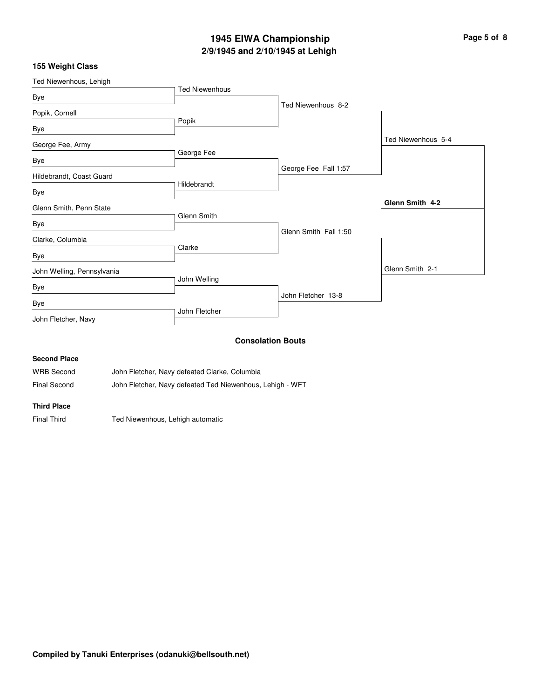# **2/9/1945 and 2/10/1945 at Lehigh 1945 EIWA Championship Page 5 of 8**

### **155 Weight Class**

| Ted Niewenhous, Lehigh     |                       |                          |                    |
|----------------------------|-----------------------|--------------------------|--------------------|
| Bye                        | <b>Ted Niewenhous</b> |                          |                    |
|                            |                       | Ted Niewenhous 8-2       |                    |
| Popik, Cornell             | Popik                 |                          |                    |
| Bye                        |                       |                          |                    |
| George Fee, Army           |                       |                          | Ted Niewenhous 5-4 |
| Bye                        | George Fee            |                          |                    |
|                            |                       | George Fee Fall 1:57     |                    |
| Hildebrandt, Coast Guard   | Hildebrandt           |                          |                    |
| Bye                        |                       |                          |                    |
| Glenn Smith, Penn State    |                       |                          | Glenn Smith 4-2    |
|                            | Glenn Smith           |                          |                    |
| Bye                        |                       | Glenn Smith Fall 1:50    |                    |
| Clarke, Columbia           | Clarke                |                          |                    |
| Bye                        |                       |                          |                    |
| John Welling, Pennsylvania |                       |                          | Glenn Smith 2-1    |
| Bye                        | John Welling          |                          |                    |
|                            |                       | John Fletcher 13-8       |                    |
| Bye                        | John Fletcher         |                          |                    |
| John Fletcher, Navy        |                       |                          |                    |
|                            |                       | <b>Consolation Route</b> |                    |
|                            |                       |                          |                    |

#### **Consolation Bouts**

## **Second Place**

| WRB Second   | John Fletcher, Navy defeated Clarke, Columbia             |
|--------------|-----------------------------------------------------------|
| Final Second | John Fletcher, Navy defeated Ted Niewenhous, Lehigh - WFT |

### **Third Place**

Final Third Ted Niewenhous, Lehigh automatic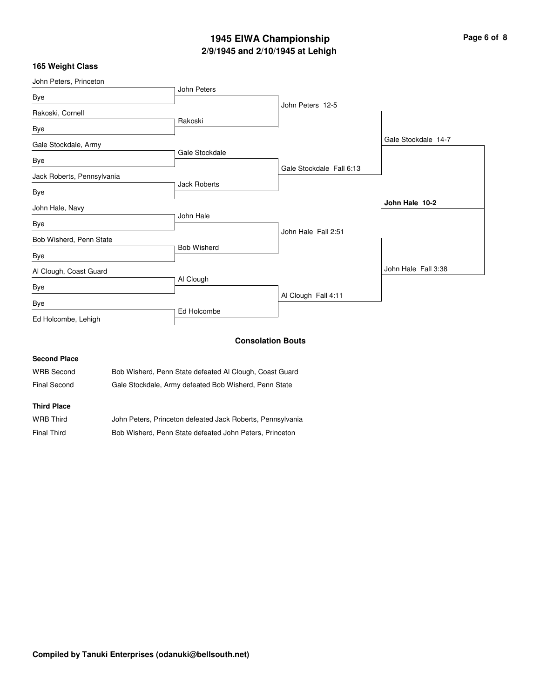# **2/9/1945 and 2/10/1945 at Lehigh 1945 EIWA Championship Page 6 of 8**

## **165 Weight Class**

| John Peters, Princeton     |                     |                          |                     |
|----------------------------|---------------------|--------------------------|---------------------|
| Bye                        | John Peters         |                          |                     |
|                            |                     | John Peters 12-5         |                     |
| Rakoski, Cornell           | Rakoski             |                          |                     |
| Bye                        |                     |                          |                     |
| Gale Stockdale, Army       |                     |                          | Gale Stockdale 14-7 |
|                            | Gale Stockdale      |                          |                     |
| Bye                        |                     | Gale Stockdale Fall 6:13 |                     |
| Jack Roberts, Pennsylvania | <b>Jack Roberts</b> |                          |                     |
| Bye                        |                     |                          |                     |
| John Hale, Navy            |                     |                          | John Hale 10-2      |
| Bye                        | John Hale           |                          |                     |
|                            |                     | John Hale Fall 2:51      |                     |
| Bob Wisherd, Penn State    | <b>Bob Wisherd</b>  |                          |                     |
| Bye                        |                     |                          |                     |
| Al Clough, Coast Guard     |                     |                          | John Hale Fall 3:38 |
| Bye                        | Al Clough           |                          |                     |
| Bye                        |                     | Al Clough Fall 4:11      |                     |
| Ed Holcombe, Lehigh        | Ed Holcombe         |                          |                     |
|                            |                     |                          |                     |

## **Consolation Bouts**

## **Second Place**

| <b>WRB Second</b> | Bob Wisherd, Penn State defeated Al Clough, Coast Guard |
|-------------------|---------------------------------------------------------|
| Final Second      | Gale Stockdale, Army defeated Bob Wisherd, Penn State   |

| <b>WRB Third</b> | John Peters, Princeton defeated Jack Roberts, Pennsylvania |
|------------------|------------------------------------------------------------|
| Final Third      | Bob Wisherd, Penn State defeated John Peters, Princeton    |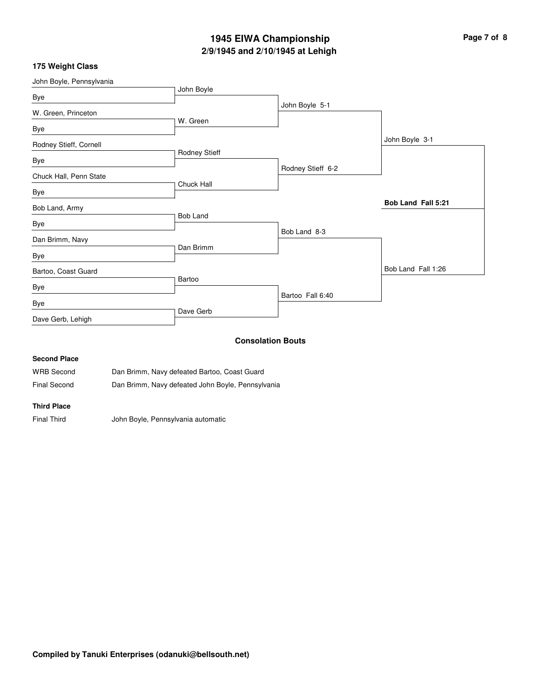# **2/9/1945 and 2/10/1945 at Lehigh 1945 EIWA Championship Page 7 of 8**

### **175 Weight Class**

| John Boyle, Pennsylvania |                   |                   |                    |
|--------------------------|-------------------|-------------------|--------------------|
| Bye                      | John Boyle        |                   |                    |
|                          |                   | John Boyle 5-1    |                    |
| W. Green, Princeton      | W. Green          |                   |                    |
| Bye                      |                   |                   |                    |
| Rodney Stieff, Cornell   |                   |                   | John Boyle 3-1     |
|                          | Rodney Stieff     |                   |                    |
| Bye                      |                   | Rodney Stieff 6-2 |                    |
| Chuck Hall, Penn State   | Chuck Hall        |                   |                    |
| Bye                      |                   |                   |                    |
| Bob Land, Army           |                   |                   | Bob Land Fall 5:21 |
|                          | <b>Bob Land</b>   |                   |                    |
| Bye                      |                   | Bob Land 8-3      |                    |
| Dan Brimm, Navy          |                   |                   |                    |
| Bye                      | Dan Brimm         |                   |                    |
| Bartoo, Coast Guard      |                   |                   | Bob Land Fall 1:26 |
| Bye                      | Bartoo            |                   |                    |
|                          |                   | Bartoo Fall 6:40  |                    |
| Bye                      | Dave Gerb         |                   |                    |
| Dave Gerb, Lehigh        |                   |                   |                    |
|                          | Concolation Route |                   |                    |

#### **Consolation Bouts**

## **Second Place**

| WRB Second   | Dan Brimm, Navy defeated Bartoo, Coast Guard      |
|--------------|---------------------------------------------------|
| Final Second | Dan Brimm, Navy defeated John Boyle, Pennsylvania |

### **Third Place**

Final Third John Boyle, Pennsylvania automatic